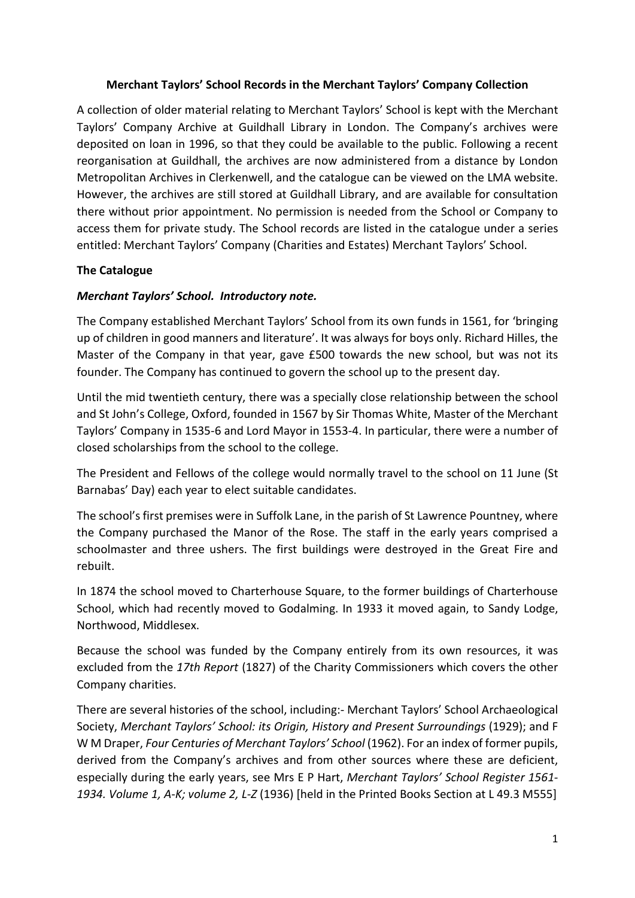# **Merchant Taylors' School Records in the Merchant Taylors' Company Collection**

A collection of older material relating to Merchant Taylors' School is kept with the Merchant Taylors' Company Archive at Guildhall Library in London. The Company's archives were deposited on loan in 1996, so that they could be available to the public. Following a recent reorganisation at Guildhall, the archives are now administered from a distance by London Metropolitan Archives in Clerkenwell, and the catalogue can be viewed on the LMA website. However, the archives are still stored at Guildhall Library, and are available for consultation there without prior appointment. No permission is needed from the School or Company to access them for private study. The School records are listed in the catalogue under a series entitled: Merchant Taylors' Company (Charities and Estates) Merchant Taylors' School.

### **The Catalogue**

# *Merchant Taylors' School. Introductory note.*

The Company established Merchant Taylors' School from its own funds in 1561, for 'bringing up of children in good manners and literature'. It was always for boys only. Richard Hilles, the Master of the Company in that year, gave £500 towards the new school, but was not its founder. The Company has continued to govern the school up to the present day.

Until the mid twentieth century, there was a specially close relationship between the school and St John's College, Oxford, founded in 1567 by Sir Thomas White, Master of the Merchant Taylors' Company in 1535-6 and Lord Mayor in 1553-4. In particular, there were a number of closed scholarships from the school to the college.

The President and Fellows of the college would normally travel to the school on 11 June (St Barnabas' Day) each year to elect suitable candidates.

The school's first premises were in Suffolk Lane, in the parish of St Lawrence Pountney, where the Company purchased the Manor of the Rose. The staff in the early years comprised a schoolmaster and three ushers. The first buildings were destroyed in the Great Fire and rebuilt.

In 1874 the school moved to Charterhouse Square, to the former buildings of Charterhouse School, which had recently moved to Godalming. In 1933 it moved again, to Sandy Lodge, Northwood, Middlesex.

Because the school was funded by the Company entirely from its own resources, it was excluded from the *17th Report* (1827) of the Charity Commissioners which covers the other Company charities.

There are several histories of the school, including:- Merchant Taylors' School Archaeological Society, *Merchant Taylors' School: its Origin, History and Present Surroundings* (1929); and F W M Draper, *Four Centuries of Merchant Taylors' School* (1962). For an index of former pupils, derived from the Company's archives and from other sources where these are deficient, especially during the early years, see Mrs E P Hart, *Merchant Taylors' School Register 1561- 1934. Volume 1, A-K; volume 2, L-Z* (1936) [held in the Printed Books Section at L 49.3 M555]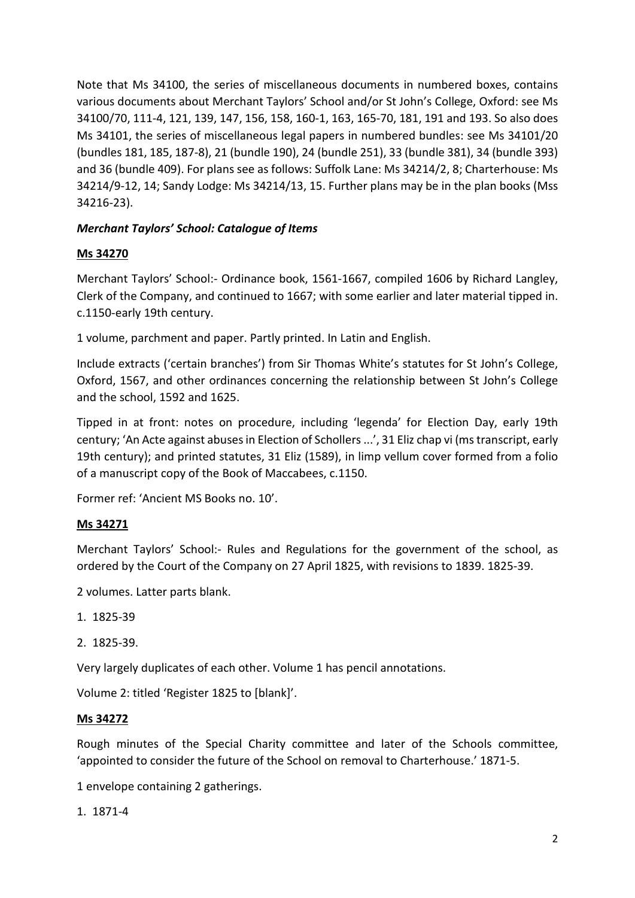Note that Ms 34100, the series of miscellaneous documents in numbered boxes, contains various documents about Merchant Taylors' School and/or St John's College, Oxford: see Ms 34100/70, 111-4, 121, 139, 147, 156, 158, 160-1, 163, 165-70, 181, 191 and 193. So also does Ms 34101, the series of miscellaneous legal papers in numbered bundles: see Ms 34101/20 (bundles 181, 185, 187-8), 21 (bundle 190), 24 (bundle 251), 33 (bundle 381), 34 (bundle 393) and 36 (bundle 409). For plans see as follows: Suffolk Lane: Ms 34214/2, 8; Charterhouse: Ms 34214/9-12, 14; Sandy Lodge: Ms 34214/13, 15. Further plans may be in the plan books (Mss 34216-23).

# *Merchant Taylors' School: Catalogue of Items*

# **Ms 34270**

Merchant Taylors' School:- Ordinance book, 1561-1667, compiled 1606 by Richard Langley, Clerk of the Company, and continued to 1667; with some earlier and later material tipped in. c.1150-early 19th century.

1 volume, parchment and paper. Partly printed. In Latin and English.

Include extracts ('certain branches') from Sir Thomas White's statutes for St John's College, Oxford, 1567, and other ordinances concerning the relationship between St John's College and the school, 1592 and 1625.

Tipped in at front: notes on procedure, including 'legenda' for Election Day, early 19th century; 'An Acte against abuses in Election of Schollers ...', 31 Eliz chap vi (ms transcript, early 19th century); and printed statutes, 31 Eliz (1589), in limp vellum cover formed from a folio of a manuscript copy of the Book of Maccabees, c.1150.

Former ref: 'Ancient MS Books no. 10'.

# **Ms 34271**

Merchant Taylors' School:- Rules and Regulations for the government of the school, as ordered by the Court of the Company on 27 April 1825, with revisions to 1839. 1825-39.

2 volumes. Latter parts blank.

- 1. 1825-39
- 2. 1825-39.

Very largely duplicates of each other. Volume 1 has pencil annotations.

Volume 2: titled 'Register 1825 to [blank]'.

### **Ms 34272**

Rough minutes of the Special Charity committee and later of the Schools committee, 'appointed to consider the future of the School on removal to Charterhouse.' 1871-5.

1 envelope containing 2 gatherings.

1. 1871-4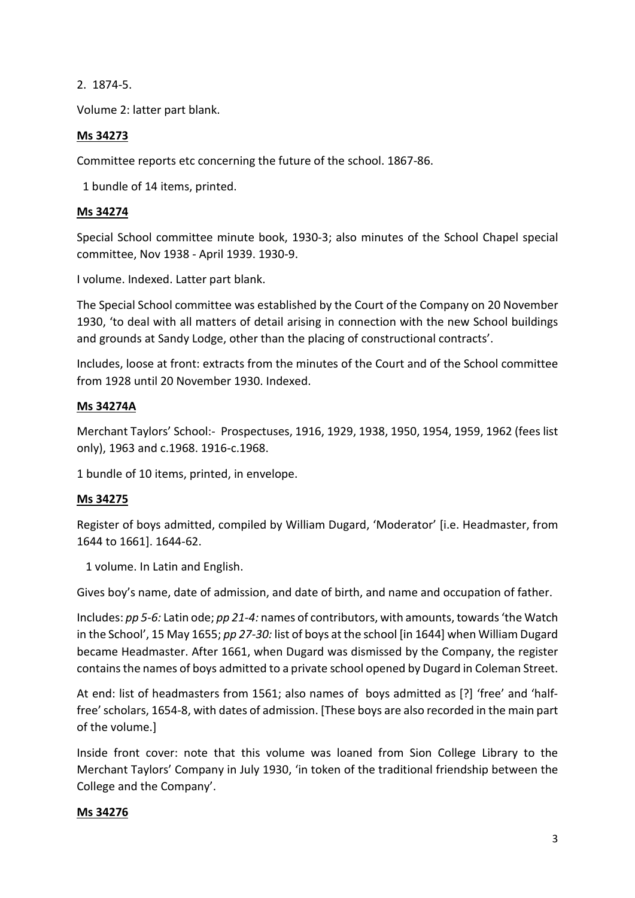2. 1874-5.

Volume 2: latter part blank.

### **Ms 34273**

Committee reports etc concerning the future of the school. 1867-86.

1 bundle of 14 items, printed.

### **Ms 34274**

Special School committee minute book, 1930-3; also minutes of the School Chapel special committee, Nov 1938 - April 1939. 1930-9.

I volume. Indexed. Latter part blank.

The Special School committee was established by the Court of the Company on 20 November 1930, 'to deal with all matters of detail arising in connection with the new School buildings and grounds at Sandy Lodge, other than the placing of constructional contracts'.

Includes, loose at front: extracts from the minutes of the Court and of the School committee from 1928 until 20 November 1930. Indexed.

### **Ms 34274A**

Merchant Taylors' School:- Prospectuses, 1916, 1929, 1938, 1950, 1954, 1959, 1962 (fees list only), 1963 and c.1968. 1916-c.1968.

1 bundle of 10 items, printed, in envelope.

# **Ms 34275**

Register of boys admitted, compiled by William Dugard, 'Moderator' [i.e. Headmaster, from 1644 to 1661]. 1644-62.

1 volume. In Latin and English.

Gives boy's name, date of admission, and date of birth, and name and occupation of father.

Includes: *pp 5-6:* Latin ode; *pp 21-4:* names of contributors, with amounts, towards 'the Watch in the School', 15 May 1655; *pp 27-30:* list of boys at the school [in 1644] when William Dugard became Headmaster. After 1661, when Dugard was dismissed by the Company, the register contains the names of boys admitted to a private school opened by Dugard in Coleman Street.

At end: list of headmasters from 1561; also names of boys admitted as [?] 'free' and 'halffree' scholars, 1654-8, with dates of admission. [These boys are also recorded in the main part of the volume.]

Inside front cover: note that this volume was loaned from Sion College Library to the Merchant Taylors' Company in July 1930, 'in token of the traditional friendship between the College and the Company'.

### **Ms 34276**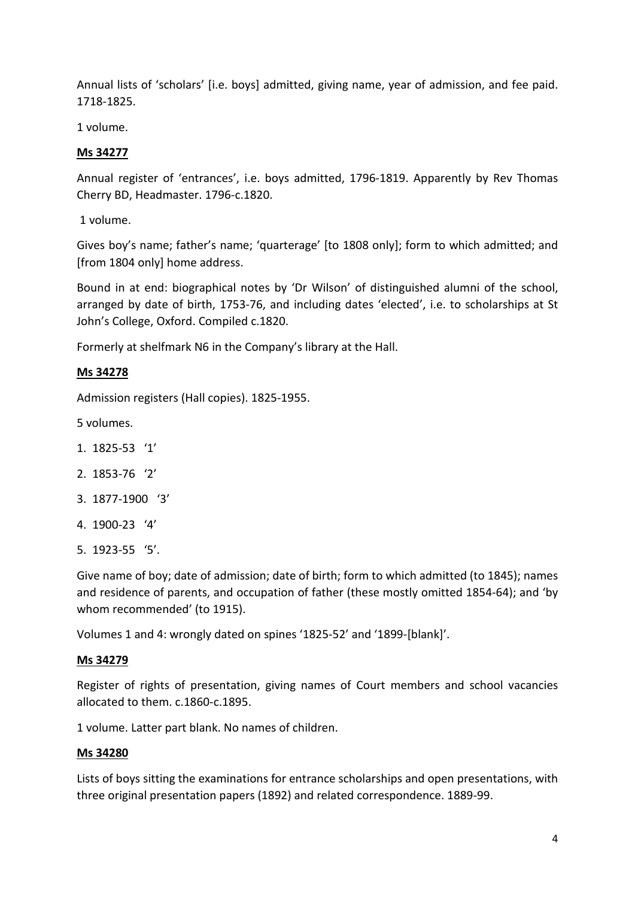Annual lists of 'scholars' [i.e. boys] admitted, giving name, year of admission, and fee paid. 1718-1825.

1 volume.

# **Ms 34277**

Annual register of 'entrances', i.e. boys admitted, 1796-1819. Apparently by Rev Thomas Cherry BD, Headmaster. 1796-c.1820.

1 volume.

Gives boy's name; father's name; 'quarterage' [to 1808 only]; form to which admitted; and [from 1804 only] home address.

Bound in at end: biographical notes by 'Dr Wilson' of distinguished alumni of the school, arranged by date of birth, 1753-76, and including dates 'elected', i.e. to scholarships at St John's College, Oxford. Compiled c.1820.

Formerly at shelfmark N6 in the Company's library at the Hall.

### **Ms 34278**

Admission registers (Hall copies). 1825-1955.

5 volumes.

- 1. 1825-53 '1'
- 2. 1853-76 '2'
- 3. 1877-1900 '3'
- 4. 1900-23 '4'
- 5. 1923-55 '5'.

Give name of boy; date of admission; date of birth; form to which admitted (to 1845); names and residence of parents, and occupation of father (these mostly omitted 1854-64); and 'by whom recommended' (to 1915).

Volumes 1 and 4: wrongly dated on spines '1825-52' and '1899-[blank]'.

### **Ms 34279**

Register of rights of presentation, giving names of Court members and school vacancies allocated to them. c.1860-c.1895.

1 volume. Latter part blank. No names of children.

### **Ms 34280**

Lists of boys sitting the examinations for entrance scholarships and open presentations, with three original presentation papers (1892) and related correspondence. 1889-99.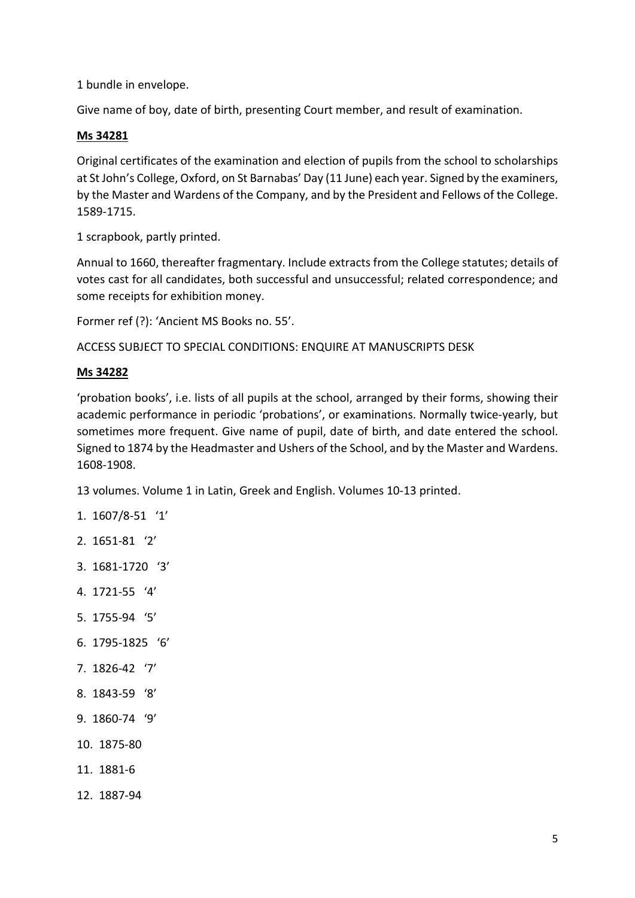1 bundle in envelope.

Give name of boy, date of birth, presenting Court member, and result of examination.

### **Ms 34281**

Original certificates of the examination and election of pupils from the school to scholarships at St John's College, Oxford, on St Barnabas' Day (11 June) each year. Signed by the examiners, by the Master and Wardens of the Company, and by the President and Fellows of the College. 1589-1715.

1 scrapbook, partly printed.

Annual to 1660, thereafter fragmentary. Include extracts from the College statutes; details of votes cast for all candidates, both successful and unsuccessful; related correspondence; and some receipts for exhibition money.

Former ref (?): 'Ancient MS Books no. 55'.

ACCESS SUBJECT TO SPECIAL CONDITIONS: ENQUIRE AT MANUSCRIPTS DESK

### **Ms 34282**

'probation books', i.e. lists of all pupils at the school, arranged by their forms, showing their academic performance in periodic 'probations', or examinations. Normally twice-yearly, but sometimes more frequent. Give name of pupil, date of birth, and date entered the school. Signed to 1874 by the Headmaster and Ushers of the School, and by the Master and Wardens. 1608-1908.

13 volumes. Volume 1 in Latin, Greek and English. Volumes 10-13 printed.

- 1. 1607/8-51 '1'
- 2. 1651-81 '2'
- 3. 1681-1720 '3'
- 4. 1721-55 '4'
- 5. 1755-94 '5'
- 6. 1795-1825 '6'
- 7. 1826-42 '7'
- 8. 1843-59 '8'
- 9. 1860-74 '9'
- 10. 1875-80
- 11. 1881-6
- 12. 1887-94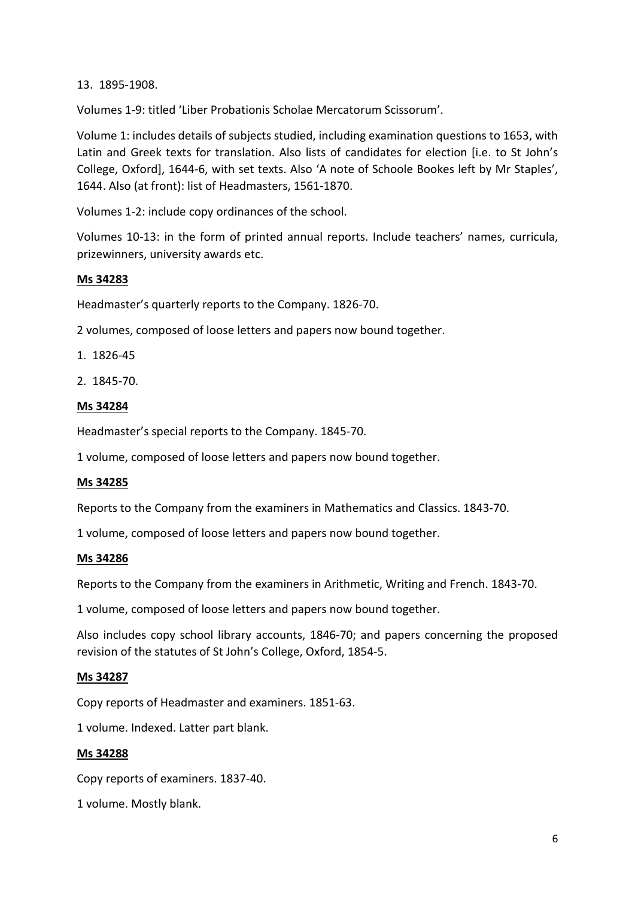13. 1895-1908.

Volumes 1-9: titled 'Liber Probationis Scholae Mercatorum Scissorum'.

Volume 1: includes details of subjects studied, including examination questions to 1653, with Latin and Greek texts for translation. Also lists of candidates for election [i.e. to St John's College, Oxford], 1644-6, with set texts. Also 'A note of Schoole Bookes left by Mr Staples', 1644. Also (at front): list of Headmasters, 1561-1870.

Volumes 1-2: include copy ordinances of the school.

Volumes 10-13: in the form of printed annual reports. Include teachers' names, curricula, prizewinners, university awards etc.

# **Ms 34283**

Headmaster's quarterly reports to the Company. 1826-70.

2 volumes, composed of loose letters and papers now bound together.

- 1. 1826-45
- 2. 1845-70.

### **Ms 34284**

Headmaster's special reports to the Company. 1845-70.

1 volume, composed of loose letters and papers now bound together.

### **Ms 34285**

Reports to the Company from the examiners in Mathematics and Classics. 1843-70.

1 volume, composed of loose letters and papers now bound together.

### **Ms 34286**

Reports to the Company from the examiners in Arithmetic, Writing and French. 1843-70.

1 volume, composed of loose letters and papers now bound together.

Also includes copy school library accounts, 1846-70; and papers concerning the proposed revision of the statutes of St John's College, Oxford, 1854-5.

# **Ms 34287**

Copy reports of Headmaster and examiners. 1851-63.

1 volume. Indexed. Latter part blank.

### **Ms 34288**

Copy reports of examiners. 1837-40.

1 volume. Mostly blank.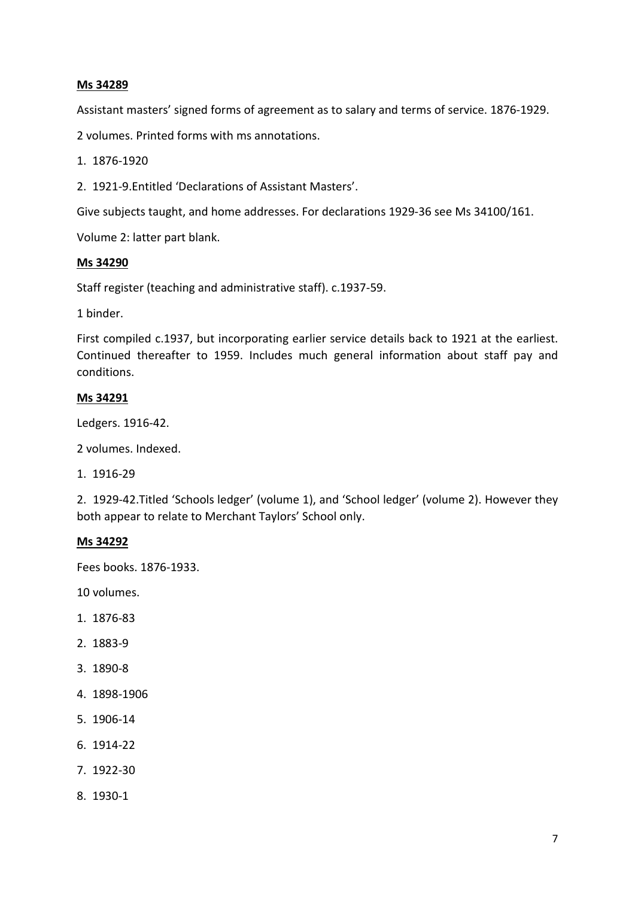### **Ms 34289**

Assistant masters' signed forms of agreement as to salary and terms of service. 1876-1929.

2 volumes. Printed forms with ms annotations.

1. 1876-1920

2. 1921-9.Entitled 'Declarations of Assistant Masters'.

Give subjects taught, and home addresses. For declarations 1929-36 see Ms 34100/161.

Volume 2: latter part blank.

#### **Ms 34290**

Staff register (teaching and administrative staff). c.1937-59.

1 binder.

First compiled c.1937, but incorporating earlier service details back to 1921 at the earliest. Continued thereafter to 1959. Includes much general information about staff pay and conditions.

### **Ms 34291**

Ledgers. 1916-42.

2 volumes. Indexed.

1. 1916-29

2. 1929-42.Titled 'Schools ledger' (volume 1), and 'School ledger' (volume 2). However they both appear to relate to Merchant Taylors' School only.

#### **Ms 34292**

Fees books. 1876-1933.

10 volumes.

- 1. 1876-83
- 2. 1883-9
- 3. 1890-8
- 4. 1898-1906
- 5. 1906-14
- 6. 1914-22
- 7. 1922-30
- 8. 1930-1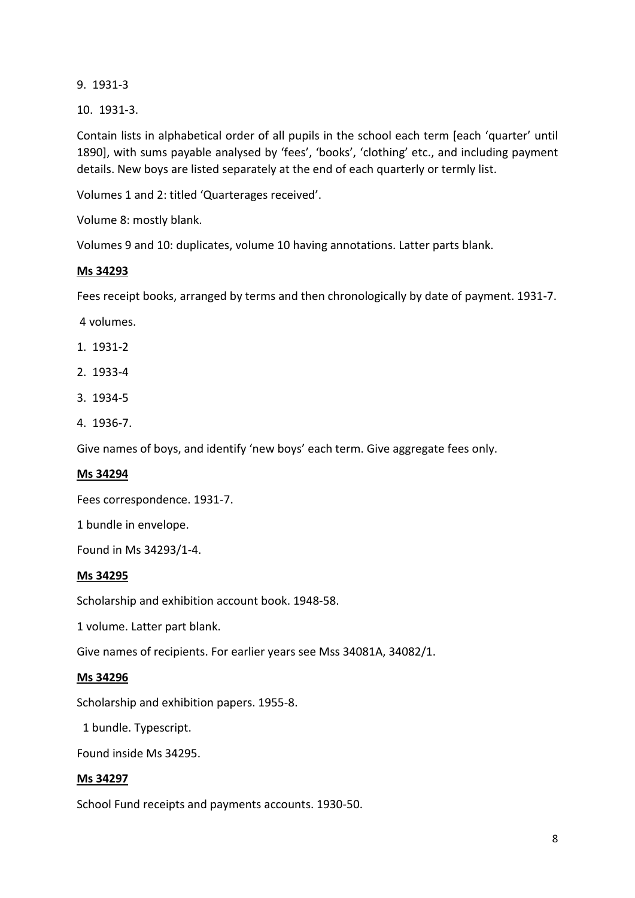9. 1931-3

10. 1931-3.

Contain lists in alphabetical order of all pupils in the school each term [each 'quarter' until 1890], with sums payable analysed by 'fees', 'books', 'clothing' etc., and including payment details. New boys are listed separately at the end of each quarterly or termly list.

Volumes 1 and 2: titled 'Quarterages received'.

Volume 8: mostly blank.

Volumes 9 and 10: duplicates, volume 10 having annotations. Latter parts blank.

### **Ms 34293**

Fees receipt books, arranged by terms and then chronologically by date of payment. 1931-7.

4 volumes.

- 1. 1931-2
- 2. 1933-4
- 3. 1934-5
- 4. 1936-7.

Give names of boys, and identify 'new boys' each term. Give aggregate fees only.

### **Ms 34294**

Fees correspondence. 1931-7.

1 bundle in envelope.

Found in Ms 34293/1-4.

### **Ms 34295**

Scholarship and exhibition account book. 1948-58.

1 volume. Latter part blank.

Give names of recipients. For earlier years see Mss 34081A, 34082/1.

### **Ms 34296**

Scholarship and exhibition papers. 1955-8.

1 bundle. Typescript.

Found inside Ms 34295.

### **Ms 34297**

School Fund receipts and payments accounts. 1930-50.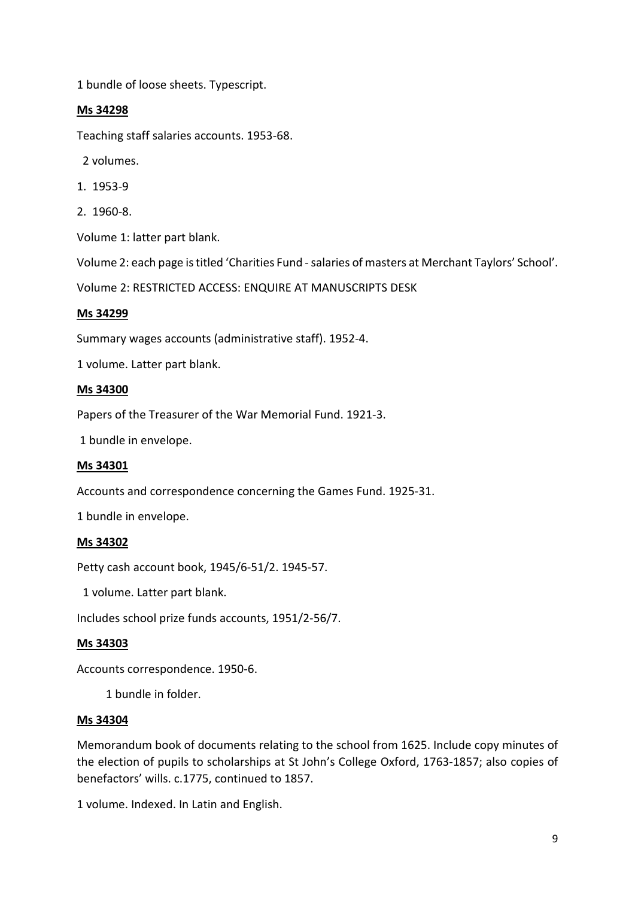1 bundle of loose sheets. Typescript.

### **Ms 34298**

Teaching staff salaries accounts. 1953-68.

2 volumes.

- 1. 1953-9
- 2. 1960-8.

Volume 1: latter part blank.

Volume 2: each page is titled 'Charities Fund -salaries of masters at Merchant Taylors' School'.

Volume 2: RESTRICTED ACCESS: ENQUIRE AT MANUSCRIPTS DESK

#### **Ms 34299**

Summary wages accounts (administrative staff). 1952-4.

1 volume. Latter part blank.

#### **Ms 34300**

Papers of the Treasurer of the War Memorial Fund. 1921-3.

1 bundle in envelope.

### **Ms 34301**

Accounts and correspondence concerning the Games Fund. 1925-31.

1 bundle in envelope.

### **Ms 34302**

Petty cash account book, 1945/6-51/2. 1945-57.

1 volume. Latter part blank.

Includes school prize funds accounts, 1951/2-56/7.

### **Ms 34303**

Accounts correspondence. 1950-6.

1 bundle in folder.

#### **Ms 34304**

Memorandum book of documents relating to the school from 1625. Include copy minutes of the election of pupils to scholarships at St John's College Oxford, 1763-1857; also copies of benefactors' wills. c.1775, continued to 1857.

1 volume. Indexed. In Latin and English.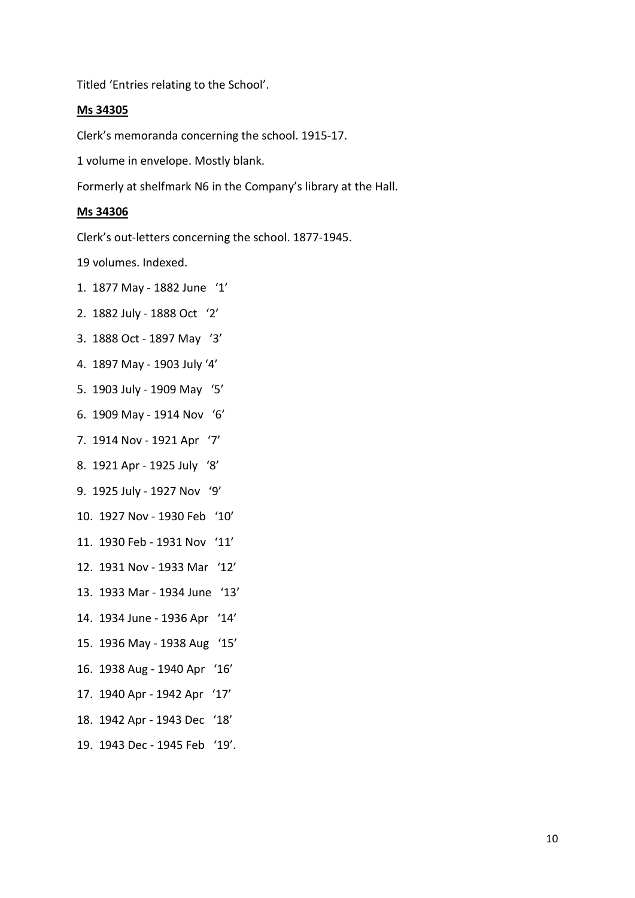Titled 'Entries relating to the School'.

#### **Ms 34305**

Clerk's memoranda concerning the school. 1915-17.

1 volume in envelope. Mostly blank.

Formerly at shelfmark N6 in the Company's library at the Hall.

#### **Ms 34306**

Clerk's out-letters concerning the school. 1877-1945.

19 volumes. Indexed.

- 1. 1877 May 1882 June '1'
- 2. 1882 July 1888 Oct '2'
- 3. 1888 Oct 1897 May '3'
- 4. 1897 May 1903 July '4'
- 5. 1903 July 1909 May '5'
- 6. 1909 May 1914 Nov '6'
- 7. 1914 Nov 1921 Apr '7'
- 8. 1921 Apr 1925 July '8'
- 9. 1925 July 1927 Nov '9'
- 10. 1927 Nov 1930 Feb '10'
- 11. 1930 Feb 1931 Nov '11'
- 12. 1931 Nov 1933 Mar '12'
- 13. 1933 Mar 1934 June '13'
- 14. 1934 June 1936 Apr '14'
- 15. 1936 May 1938 Aug '15'
- 16. 1938 Aug 1940 Apr '16'
- 17. 1940 Apr 1942 Apr '17'
- 18. 1942 Apr 1943 Dec '18'
- 19. 1943 Dec 1945 Feb '19'.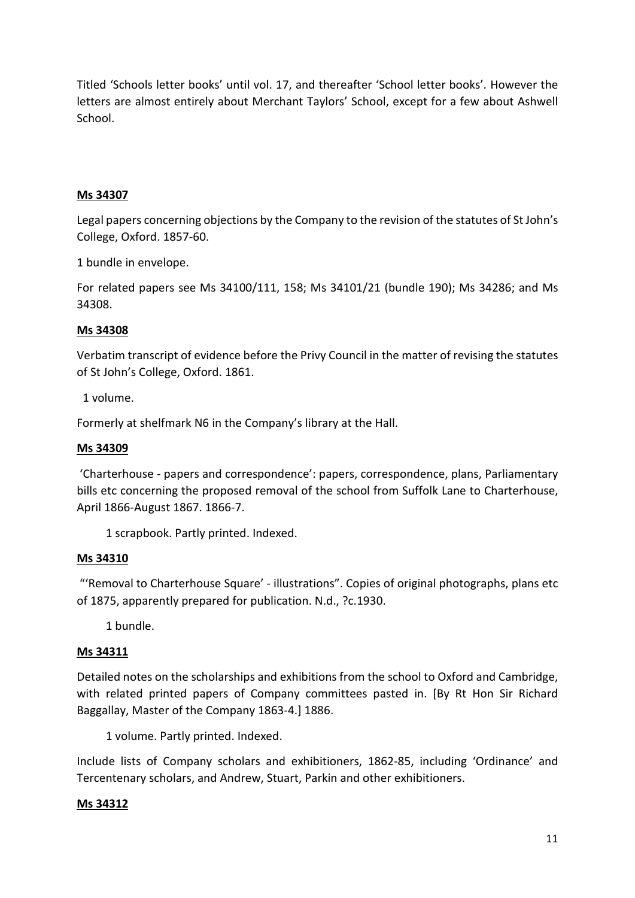Titled 'Schools letter books' until vol. 17, and thereafter 'School letter books'. However the letters are almost entirely about Merchant Taylors' School, except for a few about Ashwell School.

# **Ms 34307**

Legal papers concerning objections by the Company to the revision of the statutes of St John's College, Oxford. 1857-60.

1 bundle in envelope.

For related papers see Ms 34100/111, 158; Ms 34101/21 (bundle 190); Ms 34286; and Ms 34308.

# **Ms 34308**

Verbatim transcript of evidence before the Privy Council in the matter of revising the statutes of St John's College, Oxford. 1861.

1 volume.

Formerly at shelfmark N6 in the Company's library at the Hall.

# **Ms 34309**

'Charterhouse - papers and correspondence': papers, correspondence, plans, Parliamentary bills etc concerning the proposed removal of the school from Suffolk Lane to Charterhouse, April 1866-August 1867. 1866-7.

1 scrapbook. Partly printed. Indexed.

# **Ms 34310**

"'Removal to Charterhouse Square' - illustrations". Copies of original photographs, plans etc of 1875, apparently prepared for publication. N.d., ?c.1930.

1 bundle.

### **Ms 34311**

Detailed notes on the scholarships and exhibitions from the school to Oxford and Cambridge, with related printed papers of Company committees pasted in. [By Rt Hon Sir Richard Baggallay, Master of the Company 1863-4.] 1886.

1 volume. Partly printed. Indexed.

Include lists of Company scholars and exhibitioners, 1862-85, including 'Ordinance' and Tercentenary scholars, and Andrew, Stuart, Parkin and other exhibitioners.

# **Ms 34312**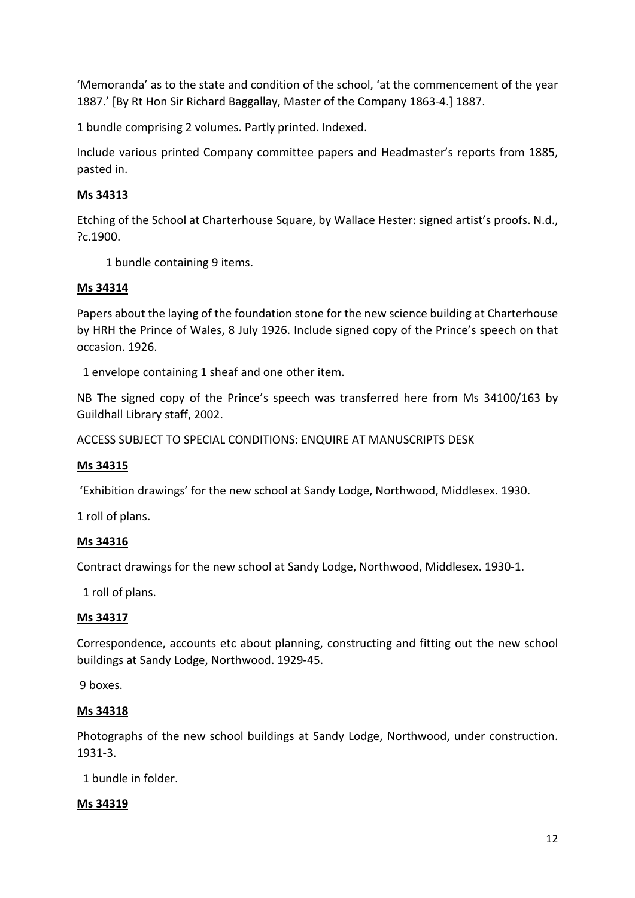'Memoranda' as to the state and condition of the school, 'at the commencement of the year 1887.' [By Rt Hon Sir Richard Baggallay, Master of the Company 1863-4.] 1887.

1 bundle comprising 2 volumes. Partly printed. Indexed.

Include various printed Company committee papers and Headmaster's reports from 1885, pasted in.

# **Ms 34313**

Etching of the School at Charterhouse Square, by Wallace Hester: signed artist's proofs. N.d., ?c.1900.

1 bundle containing 9 items.

# **Ms 34314**

Papers about the laying of the foundation stone for the new science building at Charterhouse by HRH the Prince of Wales, 8 July 1926. Include signed copy of the Prince's speech on that occasion. 1926.

1 envelope containing 1 sheaf and one other item.

NB The signed copy of the Prince's speech was transferred here from Ms 34100/163 by Guildhall Library staff, 2002.

ACCESS SUBJECT TO SPECIAL CONDITIONS: ENQUIRE AT MANUSCRIPTS DESK

# **Ms 34315**

'Exhibition drawings' for the new school at Sandy Lodge, Northwood, Middlesex. 1930.

1 roll of plans.

# **Ms 34316**

Contract drawings for the new school at Sandy Lodge, Northwood, Middlesex. 1930-1.

1 roll of plans.

# **Ms 34317**

Correspondence, accounts etc about planning, constructing and fitting out the new school buildings at Sandy Lodge, Northwood. 1929-45.

9 boxes.

### **Ms 34318**

Photographs of the new school buildings at Sandy Lodge, Northwood, under construction. 1931-3.

1 bundle in folder.

# **Ms 34319**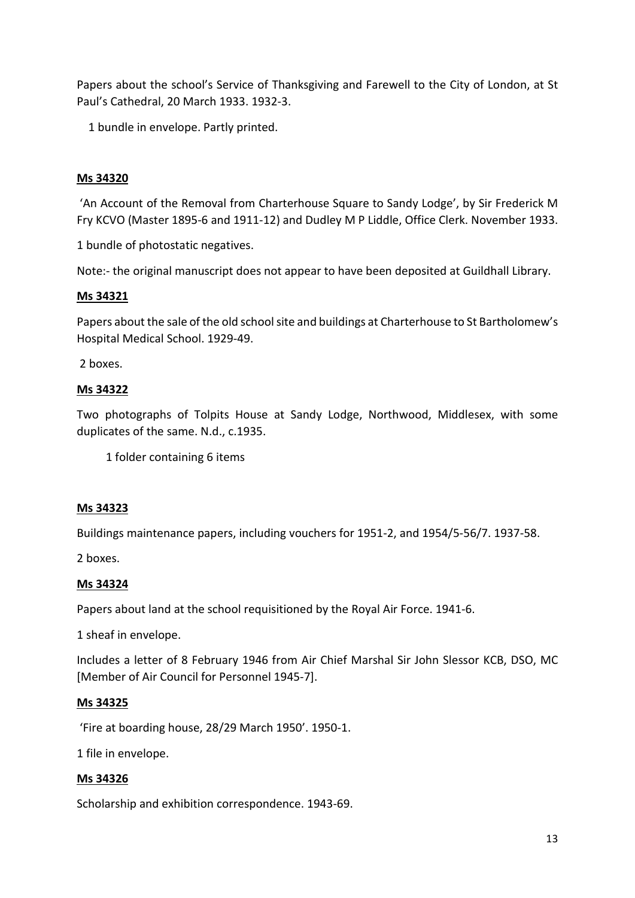Papers about the school's Service of Thanksgiving and Farewell to the City of London, at St Paul's Cathedral, 20 March 1933. 1932-3.

1 bundle in envelope. Partly printed.

# **Ms 34320**

'An Account of the Removal from Charterhouse Square to Sandy Lodge', by Sir Frederick M Fry KCVO (Master 1895-6 and 1911-12) and Dudley M P Liddle, Office Clerk. November 1933.

1 bundle of photostatic negatives.

Note:- the original manuscript does not appear to have been deposited at Guildhall Library.

### **Ms 34321**

Papers about the sale of the old school site and buildings at Charterhouse to St Bartholomew's Hospital Medical School. 1929-49.

2 boxes.

### **Ms 34322**

Two photographs of Tolpits House at Sandy Lodge, Northwood, Middlesex, with some duplicates of the same. N.d., c.1935.

1 folder containing 6 items

### **Ms 34323**

Buildings maintenance papers, including vouchers for 1951-2, and 1954/5-56/7. 1937-58.

2 boxes.

# **Ms 34324**

Papers about land at the school requisitioned by the Royal Air Force. 1941-6.

1 sheaf in envelope.

Includes a letter of 8 February 1946 from Air Chief Marshal Sir John Slessor KCB, DSO, MC [Member of Air Council for Personnel 1945-7].

### **Ms 34325**

'Fire at boarding house, 28/29 March 1950'. 1950-1.

1 file in envelope.

### **Ms 34326**

Scholarship and exhibition correspondence. 1943-69.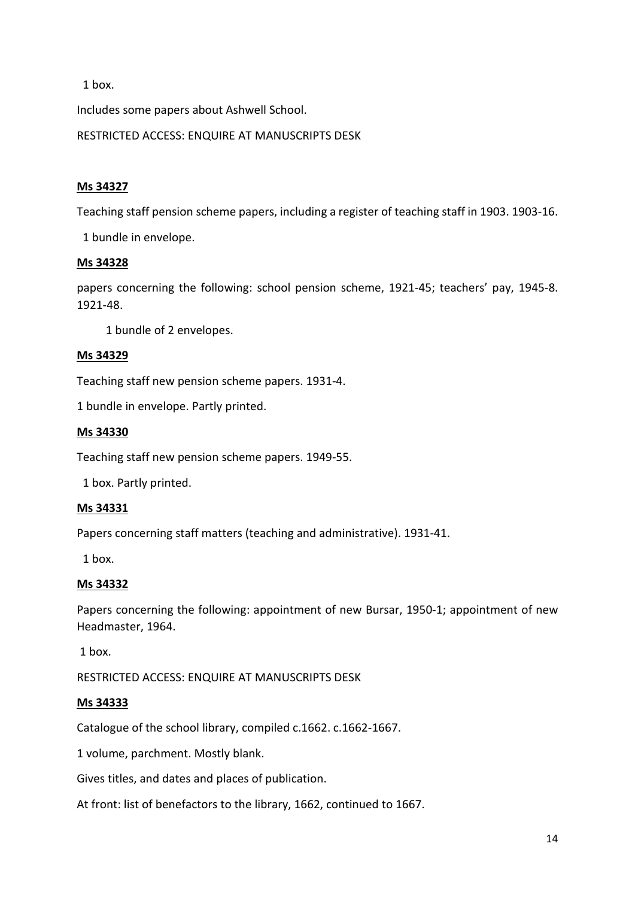1 box.

Includes some papers about Ashwell School.

RESTRICTED ACCESS: ENQUIRE AT MANUSCRIPTS DESK

### **Ms 34327**

Teaching staff pension scheme papers, including a register of teaching staff in 1903. 1903-16.

1 bundle in envelope.

### **Ms 34328**

papers concerning the following: school pension scheme, 1921-45; teachers' pay, 1945-8. 1921-48.

1 bundle of 2 envelopes.

### **Ms 34329**

Teaching staff new pension scheme papers. 1931-4.

1 bundle in envelope. Partly printed.

#### **Ms 34330**

Teaching staff new pension scheme papers. 1949-55.

1 box. Partly printed.

#### **Ms 34331**

Papers concerning staff matters (teaching and administrative). 1931-41.

1 box.

### **Ms 34332**

Papers concerning the following: appointment of new Bursar, 1950-1; appointment of new Headmaster, 1964.

1 box.

RESTRICTED ACCESS: ENQUIRE AT MANUSCRIPTS DESK

#### **Ms 34333**

Catalogue of the school library, compiled c.1662. c.1662-1667.

1 volume, parchment. Mostly blank.

Gives titles, and dates and places of publication.

At front: list of benefactors to the library, 1662, continued to 1667.